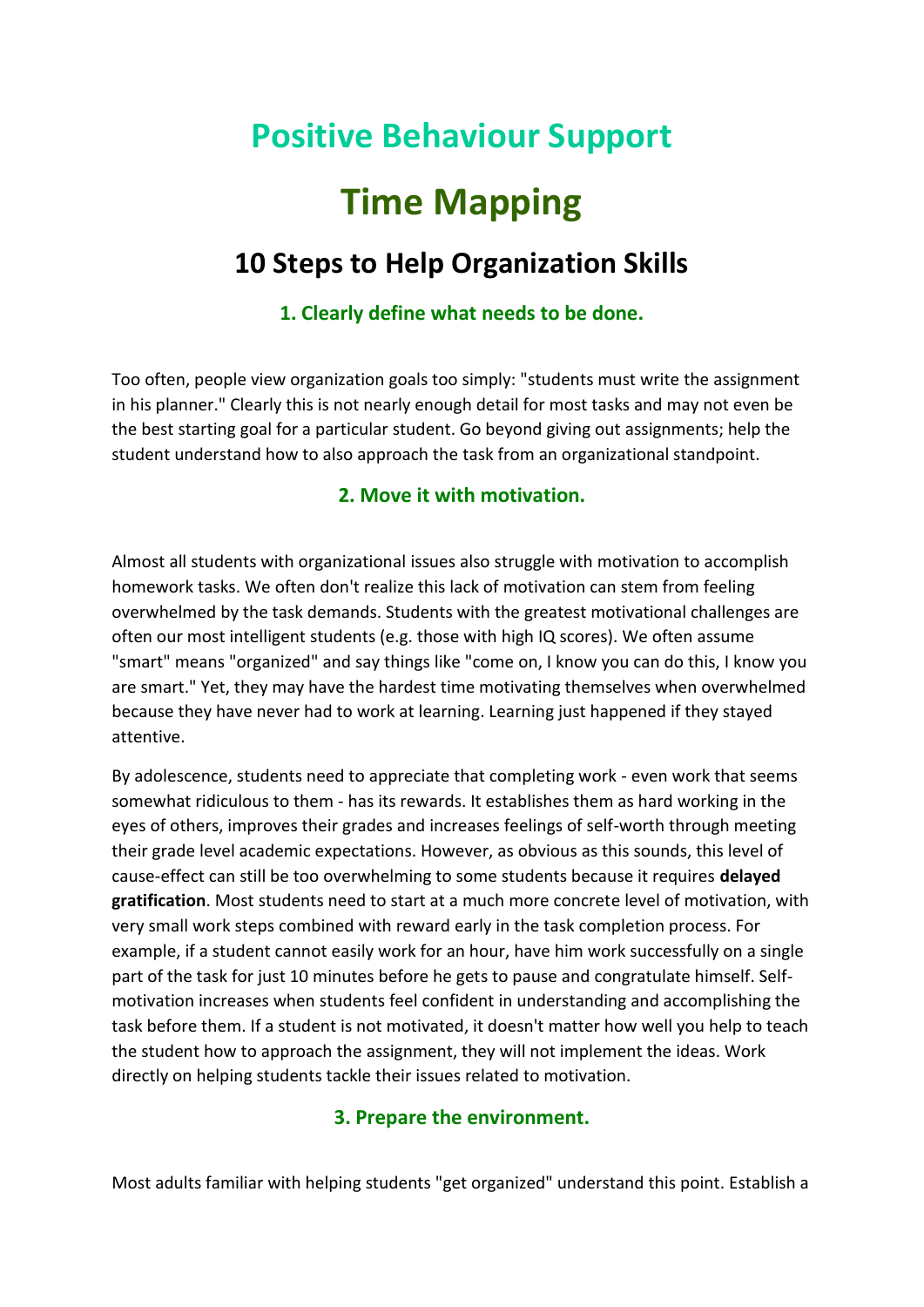# **Positive Behaviour Support Time Mapping 10 Steps to Help Organization Skills**

## **1. Clearly define what needs to be done.**

Too often, people view organization goals too simply: "students must write the assignment in his planner." Clearly this is not nearly enough detail for most tasks and may not even be the best starting goal for a particular student. Go beyond giving out assignments; help the student understand how to also approach the task from an organizational standpoint.

#### **2. Move it with motivation.**

Almost all students with organizational issues also struggle with motivation to accomplish homework tasks. We often don't realize this lack of motivation can stem from feeling overwhelmed by the task demands. Students with the greatest motivational challenges are often our most intelligent students (e.g. those with high IQ scores). We often assume "smart" means "organized" and say things like "come on, I know you can do this, I know you are smart." Yet, they may have the hardest time motivating themselves when overwhelmed because they have never had to work at learning. Learning just happened if they stayed attentive.

By adolescence, students need to appreciate that completing work - even work that seems somewhat ridiculous to them - has its rewards. It establishes them as hard working in the eyes of others, improves their grades and increases feelings of self-worth through meeting their grade level academic expectations. However, as obvious as this sounds, this level of cause-effect can still be too overwhelming to some students because it requires **delayed gratification**. Most students need to start at a much more concrete level of motivation, with very small work steps combined with reward early in the task completion process. For example, if a student cannot easily work for an hour, have him work successfully on a single part of the task for just 10 minutes before he gets to pause and congratulate himself. Selfmotivation increases when students feel confident in understanding and accomplishing the task before them. If a student is not motivated, it doesn't matter how well you help to teach the student how to approach the assignment, they will not implement the ideas. Work directly on helping students tackle their issues related to motivation.

## **3. Prepare the environment.**

Most adults familiar with helping students "get organized" understand this point. Establish a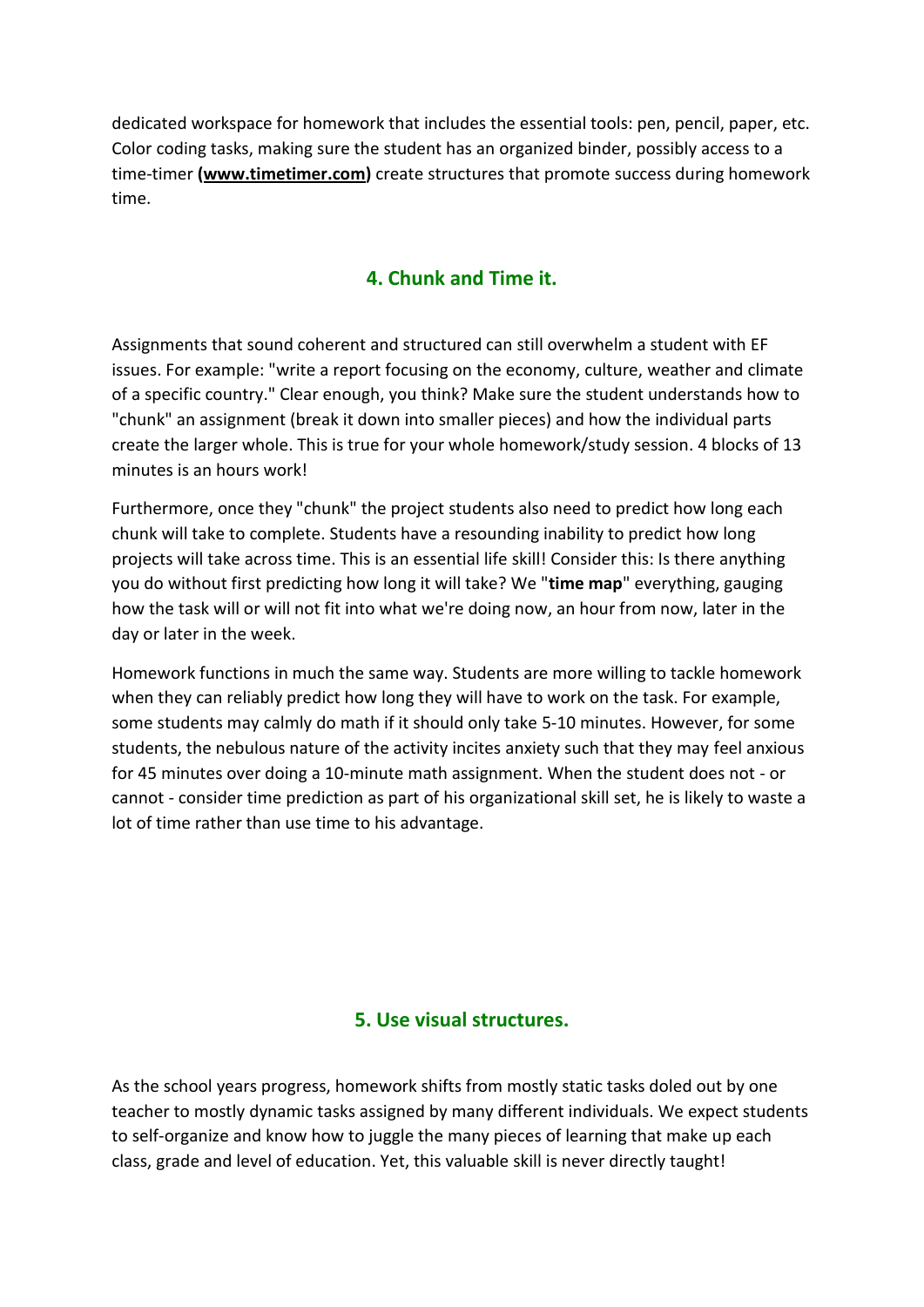dedicated workspace for homework that includes the essential tools: pen, pencil, paper, etc. Color coding tasks, making sure the student has an organized binder, possibly access to a time-timer **[\(www.timetimer.com\)](http://www.timetimer.com/)** create structures that promote success during homework time.

## **4. Chunk and Time it.**

Assignments that sound coherent and structured can still overwhelm a student with EF issues. For example: "write a report focusing on the economy, culture, weather and climate of a specific country." Clear enough, you think? Make sure the student understands how to "chunk" an assignment (break it down into smaller pieces) and how the individual parts create the larger whole. This is true for your whole homework/study session. 4 blocks of 13 minutes is an hours work!

Furthermore, once they "chunk" the project students also need to predict how long each chunk will take to complete. Students have a resounding inability to predict how long projects will take across time. This is an essential life skill! Consider this: Is there anything you do without first predicting how long it will take? We "**time map**" everything, gauging how the task will or will not fit into what we're doing now, an hour from now, later in the day or later in the week.

Homework functions in much the same way. Students are more willing to tackle homework when they can reliably predict how long they will have to work on the task. For example, some students may calmly do math if it should only take 5-10 minutes. However, for some students, the nebulous nature of the activity incites anxiety such that they may feel anxious for 45 minutes over doing a 10-minute math assignment. When the student does not - or cannot - consider time prediction as part of his organizational skill set, he is likely to waste a lot of time rather than use time to his advantage.

#### **5. Use visual structures.**

As the school years progress, homework shifts from mostly static tasks doled out by one teacher to mostly dynamic tasks assigned by many different individuals. We expect students to self-organize and know how to juggle the many pieces of learning that make up each class, grade and level of education. Yet, this valuable skill is never directly taught!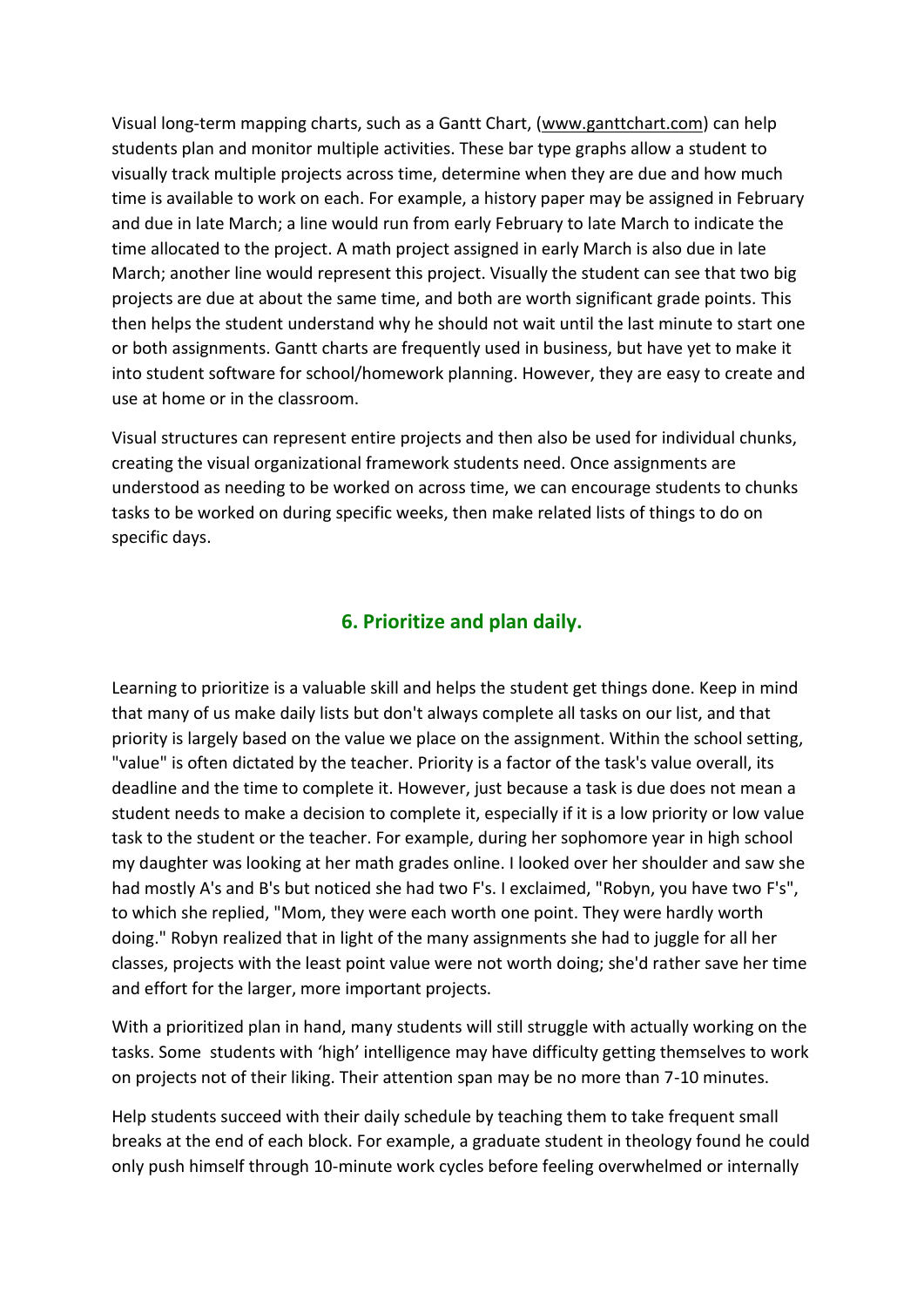Visual long-term mapping charts, such as a Gantt Chart, [\(www.ganttchart.com\)](http://www.ganttchart.com/) can help students plan and monitor multiple activities. These bar type graphs allow a student to visually track multiple projects across time, determine when they are due and how much time is available to work on each. For example, a history paper may be assigned in February and due in late March; a line would run from early February to late March to indicate the time allocated to the project. A math project assigned in early March is also due in late March; another line would represent this project. Visually the student can see that two big projects are due at about the same time, and both are worth significant grade points. This then helps the student understand why he should not wait until the last minute to start one or both assignments. Gantt charts are frequently used in business, but have yet to make it into student software for school/homework planning. However, they are easy to create and use at home or in the classroom.

Visual structures can represent entire projects and then also be used for individual chunks, creating the visual organizational framework students need. Once assignments are understood as needing to be worked on across time, we can encourage students to chunks tasks to be worked on during specific weeks, then make related lists of things to do on specific days.

#### **6. Prioritize and plan daily.**

Learning to prioritize is a valuable skill and helps the student get things done. Keep in mind that many of us make daily lists but don't always complete all tasks on our list, and that priority is largely based on the value we place on the assignment. Within the school setting, "value" is often dictated by the teacher. Priority is a factor of the task's value overall, its deadline and the time to complete it. However, just because a task is due does not mean a student needs to make a decision to complete it, especially if it is a low priority or low value task to the student or the teacher. For example, during her sophomore year in high school my daughter was looking at her math grades online. I looked over her shoulder and saw she had mostly A's and B's but noticed she had two F's. I exclaimed, "Robyn, you have two F's", to which she replied, "Mom, they were each worth one point. They were hardly worth doing." Robyn realized that in light of the many assignments she had to juggle for all her classes, projects with the least point value were not worth doing; she'd rather save her time and effort for the larger, more important projects.

With a prioritized plan in hand, many students will still struggle with actually working on the tasks. Some students with 'high' intelligence may have difficulty getting themselves to work on projects not of their liking. Their attention span may be no more than 7-10 minutes.

Help students succeed with their daily schedule by teaching them to take frequent small breaks at the end of each block. For example, a graduate student in theology found he could only push himself through 10-minute work cycles before feeling overwhelmed or internally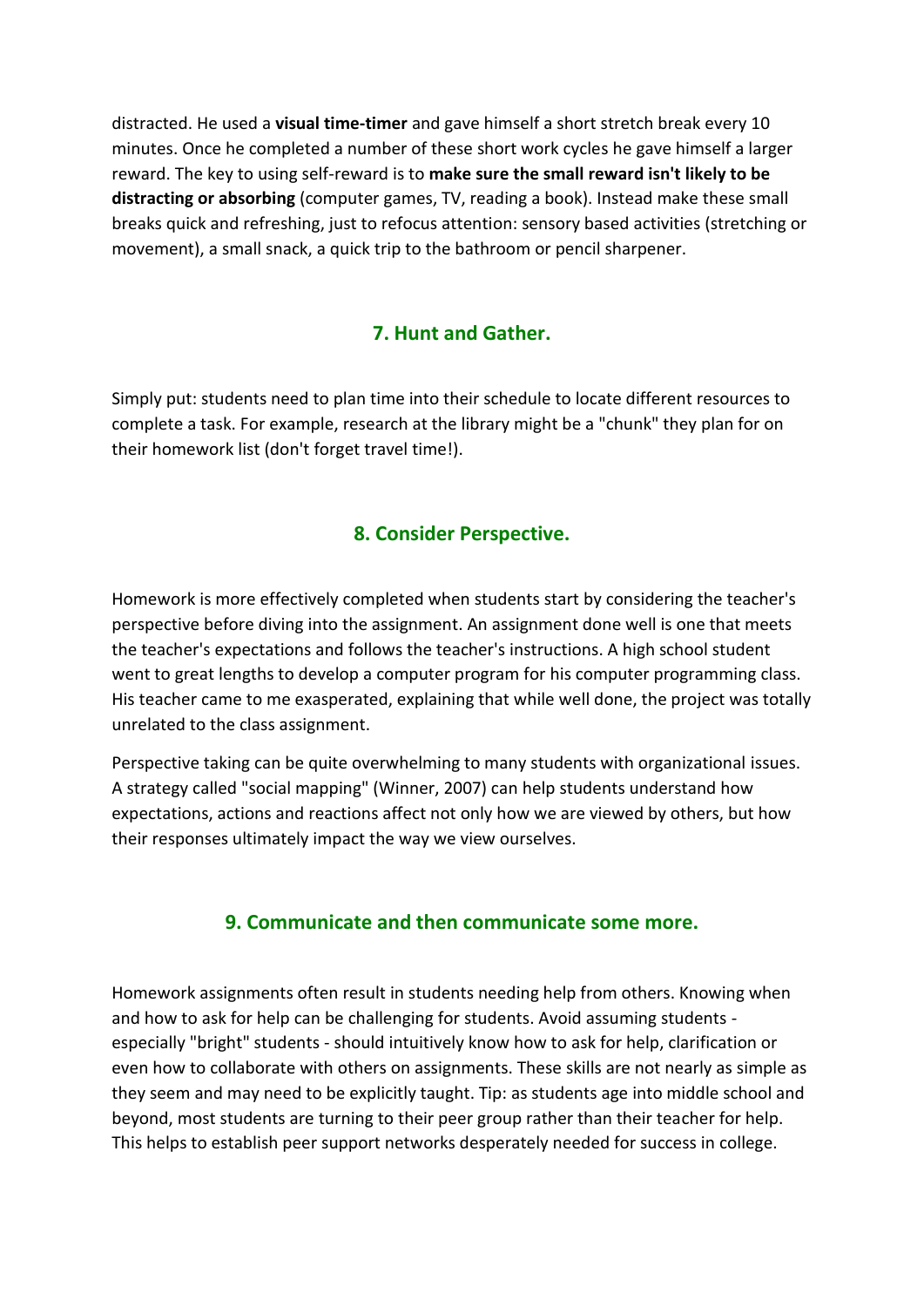distracted. He used a **visual time-timer** and gave himself a short stretch break every 10 minutes. Once he completed a number of these short work cycles he gave himself a larger reward. The key to using self-reward is to **make sure the small reward isn't likely to be distracting or absorbing** (computer games, TV, reading a book). Instead make these small breaks quick and refreshing, just to refocus attention: sensory based activities (stretching or movement), a small snack, a quick trip to the bathroom or pencil sharpener.

#### **7. Hunt and Gather.**

Simply put: students need to plan time into their schedule to locate different resources to complete a task. For example, research at the library might be a "chunk" they plan for on their homework list (don't forget travel time!).

#### **8. Consider Perspective.**

Homework is more effectively completed when students start by considering the teacher's perspective before diving into the assignment. An assignment done well is one that meets the teacher's expectations and follows the teacher's instructions. A high school student went to great lengths to develop a computer program for his computer programming class. His teacher came to me exasperated, explaining that while well done, the project was totally unrelated to the class assignment.

Perspective taking can be quite overwhelming to many students with organizational issues. A strategy called "social mapping" (Winner, 2007) can help students understand how expectations, actions and reactions affect not only how we are viewed by others, but how their responses ultimately impact the way we view ourselves.

#### **9. Communicate and then communicate some more.**

Homework assignments often result in students needing help from others. Knowing when and how to ask for help can be challenging for students. Avoid assuming students especially "bright" students - should intuitively know how to ask for help, clarification or even how to collaborate with others on assignments. These skills are not nearly as simple as they seem and may need to be explicitly taught. Tip: as students age into middle school and beyond, most students are turning to their peer group rather than their teacher for help. This helps to establish peer support networks desperately needed for success in college.